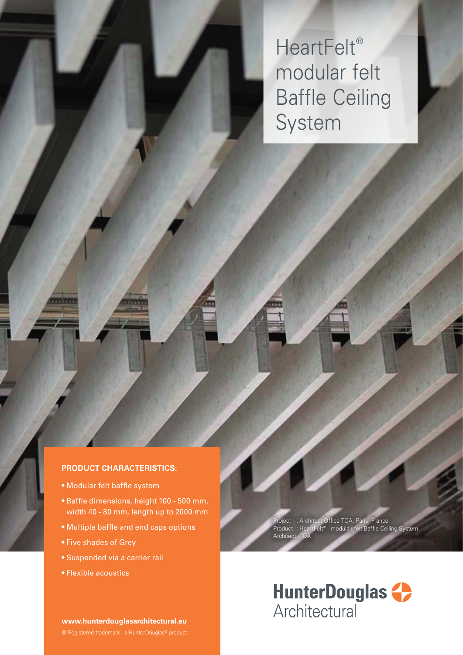HeartFelt® modular felt Baffle Ceiling System

### **PRODUCT CHARACTERISTICS:**

- Modular felt baffle system
- Baffle dimensions, height 100 500 mm, width 40 - 80 mm, length up to 2000 mm
- Multiple baffle and end caps options
- Five shades of Grey
- Suspended via a carrier rail
- Flexible acoustics

**www.hunterdouglasarchitectural.eu**

Project : Architect Office TOA, Paris, France Product : HeartFelt® - modulair felt Baffle Ceiling System Archite